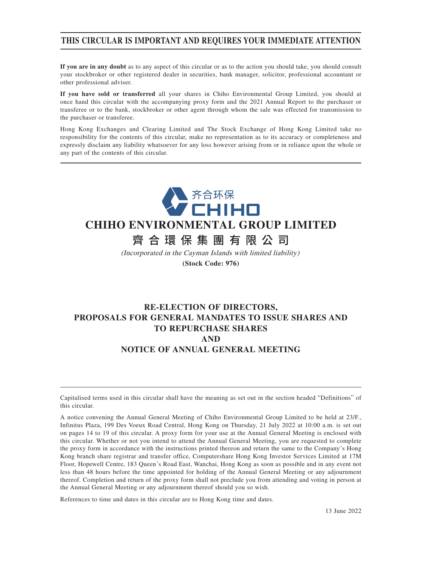# **THIS CIRCULAR IS IMPORTANT AND REQUIRES YOUR IMMEDIATE ATTENTION**

**If you are in any doubt** as to any aspect of this circular or as to the action you should take, you should consult your stockbroker or other registered dealer in securities, bank manager, solicitor, professional accountant or other professional adviser.

**If you have sold or transferred** all your shares in Chiho Environmental Group Limited, you should at once hand this circular with the accompanying proxy form and the 2021 Annual Report to the purchaser or transferee or to the bank, stockbroker or other agent through whom the sale was effected for transmission to the purchaser or transferee.

Hong Kong Exchanges and Clearing Limited and The Stock Exchange of Hong Kong Limited take no responsibility for the contents of this circular, make no representation as to its accuracy or completeness and expressly disclaim any liability whatsoever for any loss however arising from or in reliance upon the whole or any part of the contents of this circular.



# **CHIHO ENVIRONMENTAL GROUP LIMITED**

# 齊合環保集團有限公 司

(Incorporated in the Cayman Islands with limited liability) **(Stock Code: 976)**

# **RE-ELECTION OF DIRECTORS, PROPOSALS FOR GENERAL MANDATES TO ISSUE SHARES AND TO REPURCHASE SHARES AND NOTICE OF ANNUAL GENERAL MEETING**

Capitalised terms used in this circular shall have the meaning as set out in the section headed "Definitions" of this circular.

A notice convening the Annual General Meeting of Chiho Environmental Group Limited to be held at 23/F., Infinitus Plaza, 199 Des Voeux Road Central, Hong Kong on Thursday, 21 July 2022 at 10:00 a.m. is set out on pages 14 to 19 of this circular. A proxy form for your use at the Annual General Meeting is enclosed with this circular. Whether or not you intend to attend the Annual General Meeting, you are requested to complete the proxy form in accordance with the instructions printed thereon and return the same to the Company's Hong Kong branch share registrar and transfer office, Computershare Hong Kong Investor Services Limited at 17M Floor, Hopewell Centre, 183 Queen's Road East, Wanchai, Hong Kong as soon as possible and in any event not less than 48 hours before the time appointed for holding of the Annual General Meeting or any adjournment thereof. Completion and return of the proxy form shall not preclude you from attending and voting in person at the Annual General Meeting or any adjournment thereof should you so wish.

References to time and dates in this circular are to Hong Kong time and dates.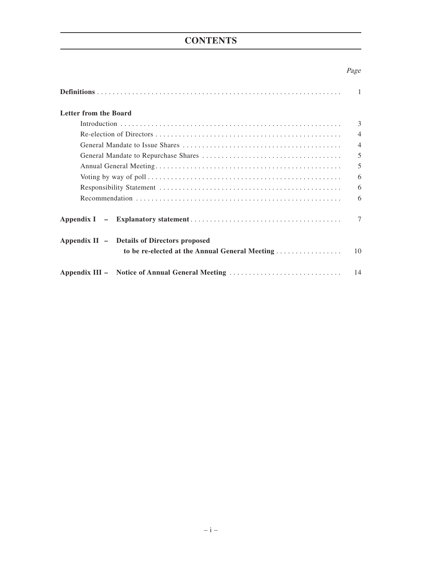# **CONTENTS**

# Page

|                                                                                                                               | $\mathbf{1}$   |
|-------------------------------------------------------------------------------------------------------------------------------|----------------|
| <b>Letter from the Board</b>                                                                                                  |                |
|                                                                                                                               | $\mathcal{E}$  |
|                                                                                                                               | $\overline{4}$ |
|                                                                                                                               | $\overline{4}$ |
|                                                                                                                               | 5              |
|                                                                                                                               | 5              |
| Voting by way of poll $\dots \dots \dots \dots \dots \dots \dots \dots \dots \dots \dots \dots \dots \dots \dots \dots \dots$ | 6              |
|                                                                                                                               | 6              |
|                                                                                                                               | 6              |
|                                                                                                                               | $\tau$         |
| Appendix II – Details of Directors proposed                                                                                   |                |
| to be re-elected at the Annual General Meeting                                                                                | 10             |
| Appendix III – Notice of Annual General Meeting                                                                               | 14             |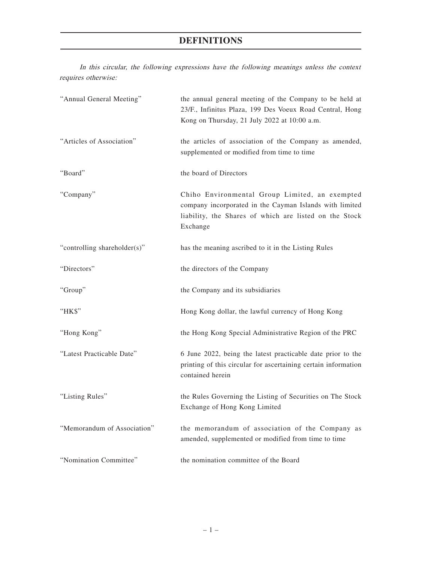# **DEFINITIONS**

In this circular, the following expressions have the following meanings unless the context requires otherwise:

| "Annual General Meeting"     | the annual general meeting of the Company to be held at<br>23/F., Infinitus Plaza, 199 Des Voeux Road Central, Hong<br>Kong on Thursday, 21 July 2022 at 10:00 a.m.             |
|------------------------------|---------------------------------------------------------------------------------------------------------------------------------------------------------------------------------|
| "Articles of Association"    | the articles of association of the Company as amended,<br>supplemented or modified from time to time                                                                            |
| "Board"                      | the board of Directors                                                                                                                                                          |
| "Company"                    | Chiho Environmental Group Limited, an exempted<br>company incorporated in the Cayman Islands with limited<br>liability, the Shares of which are listed on the Stock<br>Exchange |
| "controlling shareholder(s)" | has the meaning ascribed to it in the Listing Rules                                                                                                                             |
| "Directors"                  | the directors of the Company                                                                                                                                                    |
| "Group"                      | the Company and its subsidiaries                                                                                                                                                |
| "HK\$"                       | Hong Kong dollar, the lawful currency of Hong Kong                                                                                                                              |
| "Hong Kong"                  | the Hong Kong Special Administrative Region of the PRC                                                                                                                          |
| "Latest Practicable Date"    | 6 June 2022, being the latest practicable date prior to the<br>printing of this circular for ascertaining certain information<br>contained herein                               |
| "Listing Rules"              | the Rules Governing the Listing of Securities on The Stock<br>Exchange of Hong Kong Limited                                                                                     |
| "Memorandum of Association"  | the memorandum of association of the Company as<br>amended, supplemented or modified from time to time                                                                          |
| "Nomination Committee"       | the nomination committee of the Board                                                                                                                                           |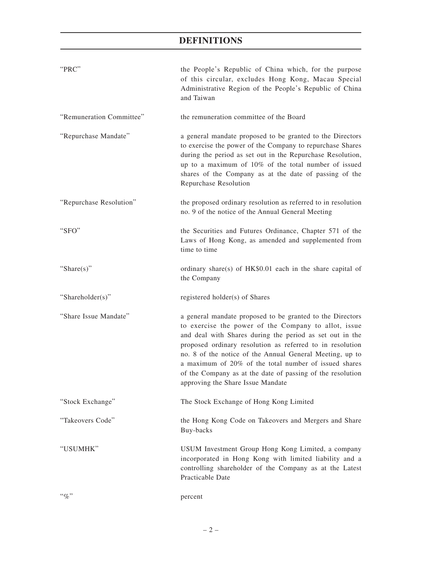# **DEFINITIONS**

| "PRC"                    | the People's Republic of China which, for the purpose<br>of this circular, excludes Hong Kong, Macau Special<br>Administrative Region of the People's Republic of China<br>and Taiwan                                                                                                                                                                                                                                                                              |
|--------------------------|--------------------------------------------------------------------------------------------------------------------------------------------------------------------------------------------------------------------------------------------------------------------------------------------------------------------------------------------------------------------------------------------------------------------------------------------------------------------|
| "Remuneration Committee" | the remuneration committee of the Board                                                                                                                                                                                                                                                                                                                                                                                                                            |
| "Repurchase Mandate"     | a general mandate proposed to be granted to the Directors<br>to exercise the power of the Company to repurchase Shares<br>during the period as set out in the Repurchase Resolution,<br>up to a maximum of 10% of the total number of issued<br>shares of the Company as at the date of passing of the<br>Repurchase Resolution                                                                                                                                    |
| "Repurchase Resolution"  | the proposed ordinary resolution as referred to in resolution<br>no. 9 of the notice of the Annual General Meeting                                                                                                                                                                                                                                                                                                                                                 |
| "SFO"                    | the Securities and Futures Ordinance, Chapter 571 of the<br>Laws of Hong Kong, as amended and supplemented from<br>time to time                                                                                                                                                                                                                                                                                                                                    |
| "Share $(s)$ "           | ordinary share(s) of HK\$0.01 each in the share capital of<br>the Company                                                                                                                                                                                                                                                                                                                                                                                          |
| "Shareholder(s)"         | registered holder(s) of Shares                                                                                                                                                                                                                                                                                                                                                                                                                                     |
| "Share Issue Mandate"    | a general mandate proposed to be granted to the Directors<br>to exercise the power of the Company to allot, issue<br>and deal with Shares during the period as set out in the<br>proposed ordinary resolution as referred to in resolution<br>no. 8 of the notice of the Annual General Meeting, up to<br>a maximum of 20% of the total number of issued shares<br>of the Company as at the date of passing of the resolution<br>approving the Share Issue Mandate |
| "Stock Exchange"         | The Stock Exchange of Hong Kong Limited                                                                                                                                                                                                                                                                                                                                                                                                                            |
| "Takeovers Code"         | the Hong Kong Code on Takeovers and Mergers and Share<br>Buy-backs                                                                                                                                                                                                                                                                                                                                                                                                 |
| "USUMHK"                 | USUM Investment Group Hong Kong Limited, a company<br>incorporated in Hong Kong with limited liability and a<br>controlling shareholder of the Company as at the Latest<br>Practicable Date                                                                                                                                                                                                                                                                        |
| $``\%"$                  | percent                                                                                                                                                                                                                                                                                                                                                                                                                                                            |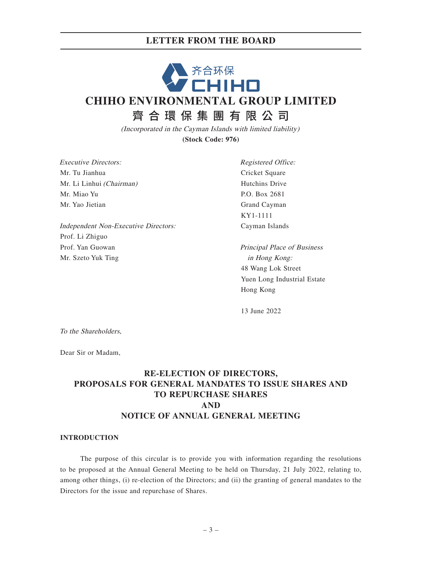# **LETTER FROM THE BOARD**

# 齐合环保<br>CHIHO **CHIHO ENVIRONMENTAL GROUP LIMITED** 齊合環保集團有限公 司

(Incorporated in the Cayman Islands with limited liability) **(Stock Code: 976)**

Executive Directors: Mr. Tu Jianhua Mr. Li Linhui (Chairman) Mr. Miao Yu Mr. Yao Jietian

Independent Non-Executive Directors: Prof. Li Zhiguo Prof. Yan Guowan Mr. Szeto Yuk Ting

Registered Office: Cricket Square Hutchins Drive P.O. Box 2681 Grand Cayman KY1-1111 Cayman Islands

Principal Place of Business in Hong Kong: 48 Wang Lok Street Yuen Long Industrial Estate Hong Kong

13 June 2022

To the Shareholders,

Dear Sir or Madam,

# **RE-ELECTION OF DIRECTORS, PROPOSALS FOR GENERAL MANDATES TO ISSUE SHARES AND TO REPURCHASE SHARES AND NOTICE OF ANNUAL GENERAL MEETING**

#### **INTRODUCTION**

The purpose of this circular is to provide you with information regarding the resolutions to be proposed at the Annual General Meeting to be held on Thursday, 21 July 2022, relating to, among other things, (i) re-election of the Directors; and (ii) the granting of general mandates to the Directors for the issue and repurchase of Shares.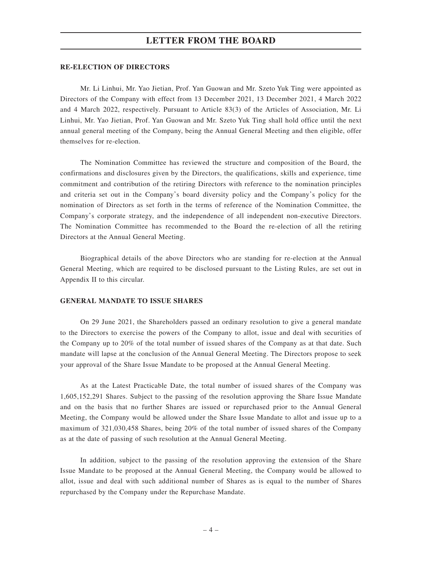### **LETTER FROM THE BOARD**

#### **RE-ELECTION OF DIRECTORS**

Mr. Li Linhui, Mr. Yao Jietian, Prof. Yan Guowan and Mr. Szeto Yuk Ting were appointed as Directors of the Company with effect from 13 December 2021, 13 December 2021, 4 March 2022 and 4 March 2022, respectively. Pursuant to Article 83(3) of the Articles of Association, Mr. Li Linhui, Mr. Yao Jietian, Prof. Yan Guowan and Mr. Szeto Yuk Ting shall hold office until the next annual general meeting of the Company, being the Annual General Meeting and then eligible, offer themselves for re-election.

The Nomination Committee has reviewed the structure and composition of the Board, the confirmations and disclosures given by the Directors, the qualifications, skills and experience, time commitment and contribution of the retiring Directors with reference to the nomination principles and criteria set out in the Company's board diversity policy and the Company's policy for the nomination of Directors as set forth in the terms of reference of the Nomination Committee, the Company's corporate strategy, and the independence of all independent non-executive Directors. The Nomination Committee has recommended to the Board the re-election of all the retiring Directors at the Annual General Meeting.

Biographical details of the above Directors who are standing for re-election at the Annual General Meeting, which are required to be disclosed pursuant to the Listing Rules, are set out in Appendix II to this circular.

#### **GENERAL MANDATE TO ISSUE SHARES**

On 29 June 2021, the Shareholders passed an ordinary resolution to give a general mandate to the Directors to exercise the powers of the Company to allot, issue and deal with securities of the Company up to 20% of the total number of issued shares of the Company as at that date. Such mandate will lapse at the conclusion of the Annual General Meeting. The Directors propose to seek your approval of the Share Issue Mandate to be proposed at the Annual General Meeting.

As at the Latest Practicable Date, the total number of issued shares of the Company was 1,605,152,291 Shares. Subject to the passing of the resolution approving the Share Issue Mandate and on the basis that no further Shares are issued or repurchased prior to the Annual General Meeting, the Company would be allowed under the Share Issue Mandate to allot and issue up to a maximum of 321,030,458 Shares, being 20% of the total number of issued shares of the Company as at the date of passing of such resolution at the Annual General Meeting.

In addition, subject to the passing of the resolution approving the extension of the Share Issue Mandate to be proposed at the Annual General Meeting, the Company would be allowed to allot, issue and deal with such additional number of Shares as is equal to the number of Shares repurchased by the Company under the Repurchase Mandate.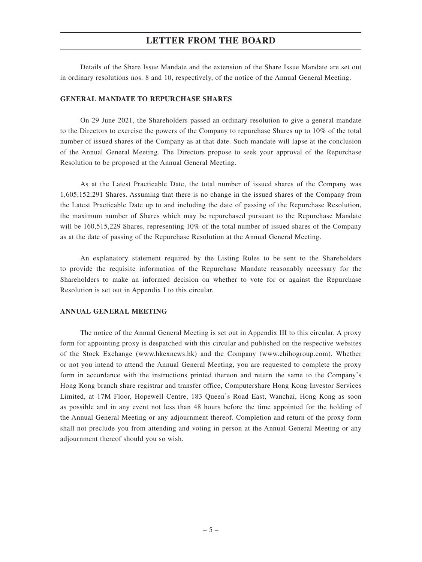# **LETTER FROM THE BOARD**

Details of the Share Issue Mandate and the extension of the Share Issue Mandate are set out in ordinary resolutions nos. 8 and 10, respectively, of the notice of the Annual General Meeting.

#### **GENERAL MANDATE TO REPURCHASE SHARES**

On 29 June 2021, the Shareholders passed an ordinary resolution to give a general mandate to the Directors to exercise the powers of the Company to repurchase Shares up to 10% of the total number of issued shares of the Company as at that date. Such mandate will lapse at the conclusion of the Annual General Meeting. The Directors propose to seek your approval of the Repurchase Resolution to be proposed at the Annual General Meeting.

As at the Latest Practicable Date, the total number of issued shares of the Company was 1,605,152,291 Shares. Assuming that there is no change in the issued shares of the Company from the Latest Practicable Date up to and including the date of passing of the Repurchase Resolution, the maximum number of Shares which may be repurchased pursuant to the Repurchase Mandate will be 160,515,229 Shares, representing 10% of the total number of issued shares of the Company as at the date of passing of the Repurchase Resolution at the Annual General Meeting.

An explanatory statement required by the Listing Rules to be sent to the Shareholders to provide the requisite information of the Repurchase Mandate reasonably necessary for the Shareholders to make an informed decision on whether to vote for or against the Repurchase Resolution is set out in Appendix I to this circular.

#### **ANNUAL GENERAL MEETING**

The notice of the Annual General Meeting is set out in Appendix III to this circular. A proxy form for appointing proxy is despatched with this circular and published on the respective websites of the Stock Exchange (www.hkexnews.hk) and the Company (www.chihogroup.com). Whether or not you intend to attend the Annual General Meeting, you are requested to complete the proxy form in accordance with the instructions printed thereon and return the same to the Company's Hong Kong branch share registrar and transfer office, Computershare Hong Kong Investor Services Limited, at 17M Floor, Hopewell Centre, 183 Queen's Road East, Wanchai, Hong Kong as soon as possible and in any event not less than 48 hours before the time appointed for the holding of the Annual General Meeting or any adjournment thereof. Completion and return of the proxy form shall not preclude you from attending and voting in person at the Annual General Meeting or any adjournment thereof should you so wish.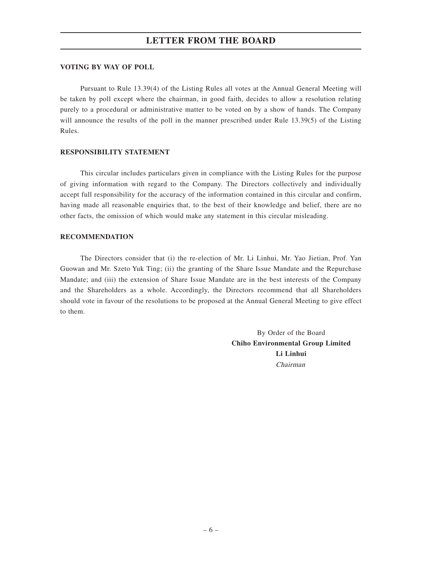#### **VOTING BY WAY OF POLL**

Pursuant to Rule 13.39(4) of the Listing Rules all votes at the Annual General Meeting will be taken by poll except where the chairman, in good faith, decides to allow a resolution relating purely to a procedural or administrative matter to be voted on by a show of hands. The Company will announce the results of the poll in the manner prescribed under Rule 13.39(5) of the Listing Rules.

#### **RESPONSIBILITY STATEMENT**

This circular includes particulars given in compliance with the Listing Rules for the purpose of giving information with regard to the Company. The Directors collectively and individually accept full responsibility for the accuracy of the information contained in this circular and confirm, having made all reasonable enquiries that, to the best of their knowledge and belief, there are no other facts, the omission of which would make any statement in this circular misleading.

#### **RECOMMENDATION**

The Directors consider that (i) the re-election of Mr. Li Linhui, Mr. Yao Jietian, Prof. Yan Guowan and Mr. Szeto Yuk Ting; (ii) the granting of the Share Issue Mandate and the Repurchase Mandate; and (iii) the extension of Share Issue Mandate are in the best interests of the Company and the Shareholders as a whole. Accordingly, the Directors recommend that all Shareholders should vote in favour of the resolutions to be proposed at the Annual General Meeting to give effect to them.

> By Order of the Board **Chiho Environmental Group Limited Li Linhui** Chairman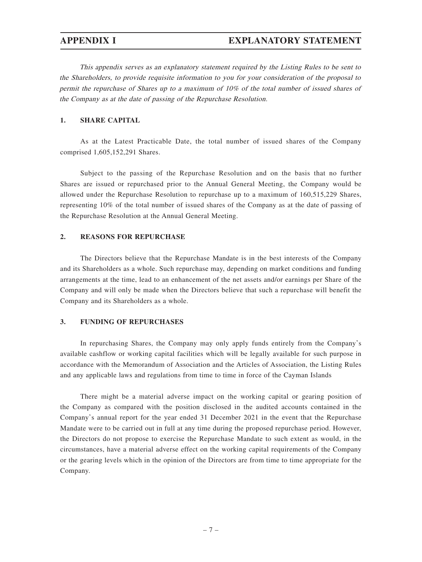This appendix serves as an explanatory statement required by the Listing Rules to be sent to the Shareholders, to provide requisite information to you for your consideration of the proposal to permit the repurchase of Shares up to a maximum of 10% of the total number of issued shares of the Company as at the date of passing of the Repurchase Resolution.

### **1. SHARE CAPITAL**

As at the Latest Practicable Date, the total number of issued shares of the Company comprised 1,605,152,291 Shares.

Subject to the passing of the Repurchase Resolution and on the basis that no further Shares are issued or repurchased prior to the Annual General Meeting, the Company would be allowed under the Repurchase Resolution to repurchase up to a maximum of 160,515,229 Shares, representing 10% of the total number of issued shares of the Company as at the date of passing of the Repurchase Resolution at the Annual General Meeting.

#### **2. REASONS FOR REPURCHASE**

The Directors believe that the Repurchase Mandate is in the best interests of the Company and its Shareholders as a whole. Such repurchase may, depending on market conditions and funding arrangements at the time, lead to an enhancement of the net assets and/or earnings per Share of the Company and will only be made when the Directors believe that such a repurchase will benefit the Company and its Shareholders as a whole.

#### **3. FUNDING OF REPURCHASES**

In repurchasing Shares, the Company may only apply funds entirely from the Company's available cashflow or working capital facilities which will be legally available for such purpose in accordance with the Memorandum of Association and the Articles of Association, the Listing Rules and any applicable laws and regulations from time to time in force of the Cayman Islands

There might be a material adverse impact on the working capital or gearing position of the Company as compared with the position disclosed in the audited accounts contained in the Company's annual report for the year ended 31 December 2021 in the event that the Repurchase Mandate were to be carried out in full at any time during the proposed repurchase period. However, the Directors do not propose to exercise the Repurchase Mandate to such extent as would, in the circumstances, have a material adverse effect on the working capital requirements of the Company or the gearing levels which in the opinion of the Directors are from time to time appropriate for the Company.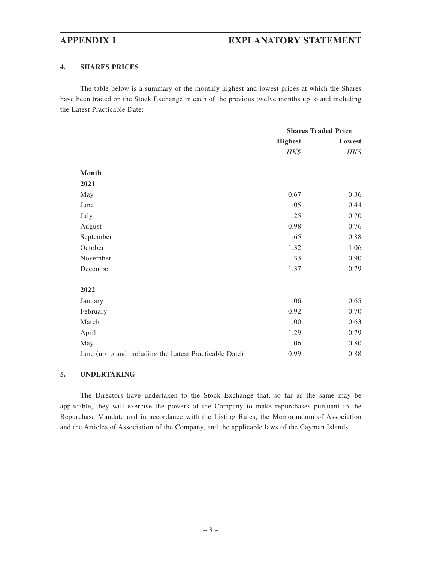### **4. SHARES PRICES**

The table below is a summary of the monthly highest and lowest prices at which the Shares have been traded on the Stock Exchange in each of the previous twelve months up to and including the Latest Practicable Date:

|                                                        | <b>Shares Traded Price</b> |        |
|--------------------------------------------------------|----------------------------|--------|
|                                                        | <b>Highest</b>             | Lowest |
|                                                        | HK\$                       | HK\$   |
| Month                                                  |                            |        |
| 2021                                                   |                            |        |
| May                                                    | 0.67                       | 0.36   |
| June                                                   | 1.05                       | 0.44   |
| July                                                   | 1.25                       | 0.70   |
| August                                                 | 0.98                       | 0.76   |
| September                                              | 1.65                       | 0.88   |
| October                                                | 1.32                       | 1.06   |
| November                                               | 1.33                       | 0.90   |
| December                                               | 1.37                       | 0.79   |
| 2022                                                   |                            |        |
| January                                                | 1.06                       | 0.65   |
| February                                               | 0.92                       | 0.70   |
| March                                                  | 1.00                       | 0.63   |
| April                                                  | 1.29                       | 0.79   |
| May                                                    | 1.06                       | 0.80   |
| June (up to and including the Latest Practicable Date) | 0.99                       | 0.88   |

### **5. UNDERTAKING**

The Directors have undertaken to the Stock Exchange that, so far as the same may be applicable, they will exercise the powers of the Company to make repurchases pursuant to the Repurchase Mandate and in accordance with the Listing Rules, the Memorandum of Association and the Articles of Association of the Company, and the applicable laws of the Cayman Islands.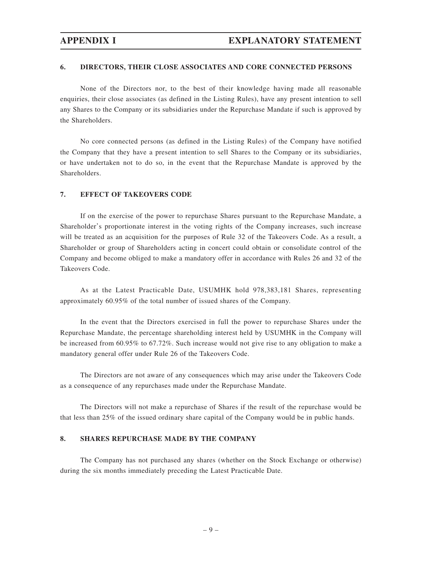#### **6. DIRECTORS, THEIR CLOSE ASSOCIATES AND CORE CONNECTED PERSONS**

None of the Directors nor, to the best of their knowledge having made all reasonable enquiries, their close associates (as defined in the Listing Rules), have any present intention to sell any Shares to the Company or its subsidiaries under the Repurchase Mandate if such is approved by the Shareholders.

No core connected persons (as defined in the Listing Rules) of the Company have notified the Company that they have a present intention to sell Shares to the Company or its subsidiaries, or have undertaken not to do so, in the event that the Repurchase Mandate is approved by the **Shareholders** 

#### **7. EFFECT OF TAKEOVERS CODE**

If on the exercise of the power to repurchase Shares pursuant to the Repurchase Mandate, a Shareholder's proportionate interest in the voting rights of the Company increases, such increase will be treated as an acquisition for the purposes of Rule 32 of the Takeovers Code. As a result, a Shareholder or group of Shareholders acting in concert could obtain or consolidate control of the Company and become obliged to make a mandatory offer in accordance with Rules 26 and 32 of the Takeovers Code.

As at the Latest Practicable Date, USUMHK hold 978,383,181 Shares, representing approximately 60.95% of the total number of issued shares of the Company.

In the event that the Directors exercised in full the power to repurchase Shares under the Repurchase Mandate, the percentage shareholding interest held by USUMHK in the Company will be increased from 60.95% to 67.72%. Such increase would not give rise to any obligation to make a mandatory general offer under Rule 26 of the Takeovers Code.

The Directors are not aware of any consequences which may arise under the Takeovers Code as a consequence of any repurchases made under the Repurchase Mandate.

The Directors will not make a repurchase of Shares if the result of the repurchase would be that less than 25% of the issued ordinary share capital of the Company would be in public hands.

#### **8. SHARES REPURCHASE MADE BY THE COMPANY**

The Company has not purchased any shares (whether on the Stock Exchange or otherwise) during the six months immediately preceding the Latest Practicable Date.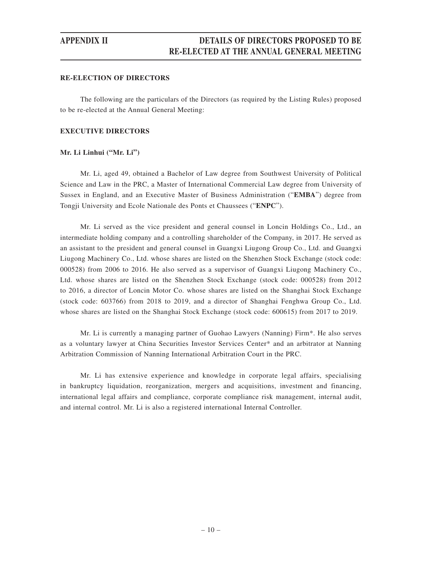#### **RE-ELECTION OF DIRECTORS**

The following are the particulars of the Directors (as required by the Listing Rules) proposed to be re-elected at the Annual General Meeting:

#### **EXECUTIVE DIRECTORS**

#### **Mr. Li Linhui ("Mr. Li")**

Mr. Li, aged 49, obtained a Bachelor of Law degree from Southwest University of Political Science and Law in the PRC, a Master of International Commercial Law degree from University of Sussex in England, and an Executive Master of Business Administration ("**EMBA**") degree from Tongji University and Ecole Nationale des Ponts et Chaussees ("**ENPC**").

Mr. Li served as the vice president and general counsel in Loncin Holdings Co., Ltd., an intermediate holding company and a controlling shareholder of the Company, in 2017. He served as an assistant to the president and general counsel in Guangxi Liugong Group Co., Ltd. and Guangxi Liugong Machinery Co., Ltd. whose shares are listed on the Shenzhen Stock Exchange (stock code: 000528) from 2006 to 2016. He also served as a supervisor of Guangxi Liugong Machinery Co., Ltd. whose shares are listed on the Shenzhen Stock Exchange (stock code: 000528) from 2012 to 2016, a director of Loncin Motor Co. whose shares are listed on the Shanghai Stock Exchange (stock code: 603766) from 2018 to 2019, and a director of Shanghai Fenghwa Group Co., Ltd. whose shares are listed on the Shanghai Stock Exchange (stock code: 600615) from 2017 to 2019.

Mr. Li is currently a managing partner of Guohao Lawyers (Nanning) Firm\*. He also serves as a voluntary lawyer at China Securities Investor Services Center\* and an arbitrator at Nanning Arbitration Commission of Nanning International Arbitration Court in the PRC.

Mr. Li has extensive experience and knowledge in corporate legal affairs, specialising in bankruptcy liquidation, reorganization, mergers and acquisitions, investment and financing, international legal affairs and compliance, corporate compliance risk management, internal audit, and internal control. Mr. Li is also a registered international Internal Controller.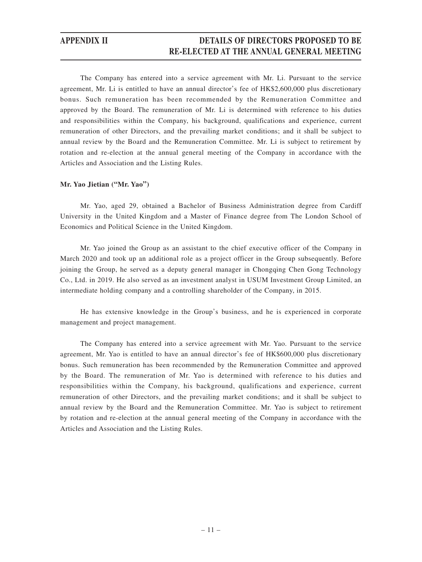# **APPENDIX II DETAILS OF DIRECTORS PROPOSED TO BE RE-ELECTED AT THE ANNUAL GENERAL MEETING**

The Company has entered into a service agreement with Mr. Li. Pursuant to the service agreement, Mr. Li is entitled to have an annual director's fee of HK\$2,600,000 plus discretionary bonus. Such remuneration has been recommended by the Remuneration Committee and approved by the Board. The remuneration of Mr. Li is determined with reference to his duties and responsibilities within the Company, his background, qualifications and experience, current remuneration of other Directors, and the prevailing market conditions; and it shall be subject to annual review by the Board and the Remuneration Committee. Mr. Li is subject to retirement by rotation and re-election at the annual general meeting of the Company in accordance with the Articles and Association and the Listing Rules.

#### **Mr. Yao Jietian ("Mr. Yao")**

Mr. Yao, aged 29, obtained a Bachelor of Business Administration degree from Cardiff University in the United Kingdom and a Master of Finance degree from The London School of Economics and Political Science in the United Kingdom.

Mr. Yao joined the Group as an assistant to the chief executive officer of the Company in March 2020 and took up an additional role as a project officer in the Group subsequently. Before joining the Group, he served as a deputy general manager in Chongqing Chen Gong Technology Co., Ltd. in 2019. He also served as an investment analyst in USUM Investment Group Limited, an intermediate holding company and a controlling shareholder of the Company, in 2015.

He has extensive knowledge in the Group's business, and he is experienced in corporate management and project management.

The Company has entered into a service agreement with Mr. Yao. Pursuant to the service agreement, Mr. Yao is entitled to have an annual director's fee of HK\$600,000 plus discretionary bonus. Such remuneration has been recommended by the Remuneration Committee and approved by the Board. The remuneration of Mr. Yao is determined with reference to his duties and responsibilities within the Company, his background, qualifications and experience, current remuneration of other Directors, and the prevailing market conditions; and it shall be subject to annual review by the Board and the Remuneration Committee. Mr. Yao is subject to retirement by rotation and re-election at the annual general meeting of the Company in accordance with the Articles and Association and the Listing Rules.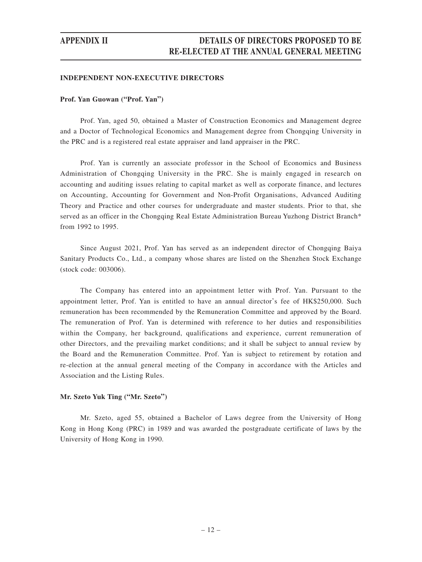# **APPENDIX II DETAILS OF DIRECTORS PROPOSED TO BE RE-ELECTED AT THE ANNUAL GENERAL MEETING**

#### **INDEPENDENT NON-EXECUTIVE DIRECTORS**

#### **Prof. Yan Guowan ("Prof. Yan")**

Prof. Yan, aged 50, obtained a Master of Construction Economics and Management degree and a Doctor of Technological Economics and Management degree from Chongqing University in the PRC and is a registered real estate appraiser and land appraiser in the PRC.

Prof. Yan is currently an associate professor in the School of Economics and Business Administration of Chongqing University in the PRC. She is mainly engaged in research on accounting and auditing issues relating to capital market as well as corporate finance, and lectures on Accounting, Accounting for Government and Non-Profit Organisations, Advanced Auditing Theory and Practice and other courses for undergraduate and master students. Prior to that, she served as an officer in the Chongqing Real Estate Administration Bureau Yuzhong District Branch\* from 1992 to 1995.

Since August 2021, Prof. Yan has served as an independent director of Chongqing Baiya Sanitary Products Co., Ltd., a company whose shares are listed on the Shenzhen Stock Exchange (stock code: 003006).

The Company has entered into an appointment letter with Prof. Yan. Pursuant to the appointment letter, Prof. Yan is entitled to have an annual director's fee of HK\$250,000. Such remuneration has been recommended by the Remuneration Committee and approved by the Board. The remuneration of Prof. Yan is determined with reference to her duties and responsibilities within the Company, her background, qualifications and experience, current remuneration of other Directors, and the prevailing market conditions; and it shall be subject to annual review by the Board and the Remuneration Committee. Prof. Yan is subject to retirement by rotation and re-election at the annual general meeting of the Company in accordance with the Articles and Association and the Listing Rules.

#### **Mr. Szeto Yuk Ting ("Mr. Szeto")**

Mr. Szeto, aged 55, obtained a Bachelor of Laws degree from the University of Hong Kong in Hong Kong (PRC) in 1989 and was awarded the postgraduate certificate of laws by the University of Hong Kong in 1990.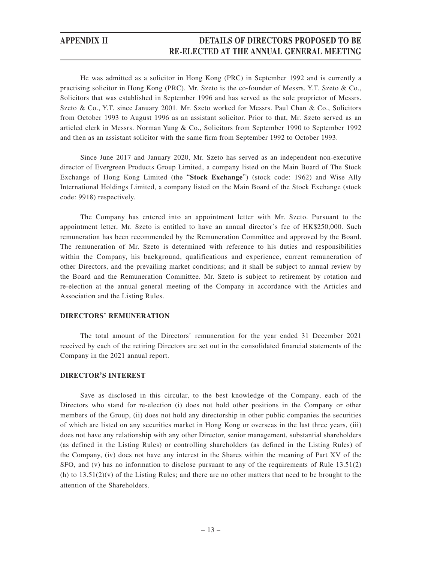# **APPENDIX II DETAILS OF DIRECTORS PROPOSED TO BE RE-ELECTED AT THE ANNUAL GENERAL MEETING**

He was admitted as a solicitor in Hong Kong (PRC) in September 1992 and is currently a practising solicitor in Hong Kong (PRC). Mr. Szeto is the co-founder of Messrs. Y.T. Szeto & Co., Solicitors that was established in September 1996 and has served as the sole proprietor of Messrs. Szeto & Co., Y.T. since January 2001. Mr. Szeto worked for Messrs. Paul Chan & Co., Solicitors from October 1993 to August 1996 as an assistant solicitor. Prior to that, Mr. Szeto served as an articled clerk in Messrs. Norman Yung & Co., Solicitors from September 1990 to September 1992 and then as an assistant solicitor with the same firm from September 1992 to October 1993.

Since June 2017 and January 2020, Mr. Szeto has served as an independent non-executive director of Evergreen Products Group Limited, a company listed on the Main Board of The Stock Exchange of Hong Kong Limited (the "**Stock Exchange**") (stock code: 1962) and Wise Ally International Holdings Limited, a company listed on the Main Board of the Stock Exchange (stock code: 9918) respectively.

The Company has entered into an appointment letter with Mr. Szeto. Pursuant to the appointment letter, Mr. Szeto is entitled to have an annual director's fee of HK\$250,000. Such remuneration has been recommended by the Remuneration Committee and approved by the Board. The remuneration of Mr. Szeto is determined with reference to his duties and responsibilities within the Company, his background, qualifications and experience, current remuneration of other Directors, and the prevailing market conditions; and it shall be subject to annual review by the Board and the Remuneration Committee. Mr. Szeto is subject to retirement by rotation and re-election at the annual general meeting of the Company in accordance with the Articles and Association and the Listing Rules.

### **DIRECTORS' REMUNERATION**

The total amount of the Directors' remuneration for the year ended 31 December 2021 received by each of the retiring Directors are set out in the consolidated financial statements of the Company in the 2021 annual report.

#### **DIRECTOR'S INTEREST**

Save as disclosed in this circular, to the best knowledge of the Company, each of the Directors who stand for re-election (i) does not hold other positions in the Company or other members of the Group, (ii) does not hold any directorship in other public companies the securities of which are listed on any securities market in Hong Kong or overseas in the last three years, (iii) does not have any relationship with any other Director, senior management, substantial shareholders (as defined in the Listing Rules) or controlling shareholders (as defined in the Listing Rules) of the Company, (iv) does not have any interest in the Shares within the meaning of Part XV of the SFO, and (v) has no information to disclose pursuant to any of the requirements of Rule 13.51(2) (h) to  $13.51(2)(v)$  of the Listing Rules; and there are no other matters that need to be brought to the attention of the Shareholders.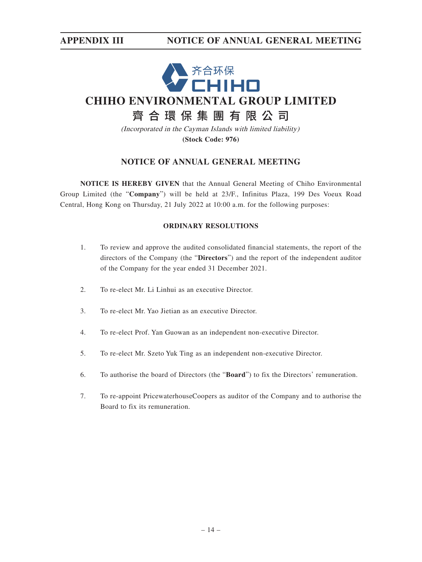

(Incorporated in the Cayman Islands with limited liability) **(Stock Code: 976)**

# **NOTICE OF ANNUAL GENERAL MEETING**

**NOTICE IS HEREBY GIVEN** that the Annual General Meeting of Chiho Environmental Group Limited (the "**Company**") will be held at 23/F., Infinitus Plaza, 199 Des Voeux Road Central, Hong Kong on Thursday, 21 July 2022 at 10:00 a.m. for the following purposes:

### **ORDINARY RESOLUTIONS**

- 1. To review and approve the audited consolidated financial statements, the report of the directors of the Company (the "**Directors**") and the report of the independent auditor of the Company for the year ended 31 December 2021.
- 2. To re-elect Mr. Li Linhui as an executive Director.
- 3. To re-elect Mr. Yao Jietian as an executive Director.
- 4. To re-elect Prof. Yan Guowan as an independent non-executive Director.
- 5. To re-elect Mr. Szeto Yuk Ting as an independent non-executive Director.
- 6. To authorise the board of Directors (the "**Board**") to fix the Directors' remuneration.
- 7. To re-appoint PricewaterhouseCoopers as auditor of the Company and to authorise the Board to fix its remuneration.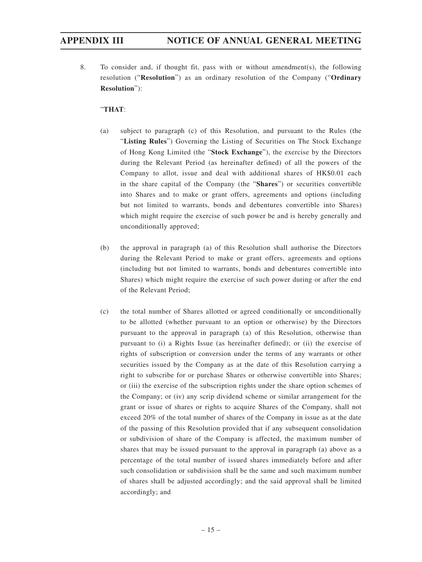8. To consider and, if thought fit, pass with or without amendment(s), the following resolution ("**Resolution**") as an ordinary resolution of the Company ("**Ordinary Resolution**"):

### "**THAT**:

- (a) subject to paragraph (c) of this Resolution, and pursuant to the Rules (the "**Listing Rules**") Governing the Listing of Securities on The Stock Exchange of Hong Kong Limited (the "**Stock Exchange**"), the exercise by the Directors during the Relevant Period (as hereinafter defined) of all the powers of the Company to allot, issue and deal with additional shares of HK\$0.01 each in the share capital of the Company (the "**Shares**") or securities convertible into Shares and to make or grant offers, agreements and options (including but not limited to warrants, bonds and debentures convertible into Shares) which might require the exercise of such power be and is hereby generally and unconditionally approved;
- (b) the approval in paragraph (a) of this Resolution shall authorise the Directors during the Relevant Period to make or grant offers, agreements and options (including but not limited to warrants, bonds and debentures convertible into Shares) which might require the exercise of such power during or after the end of the Relevant Period;
- (c) the total number of Shares allotted or agreed conditionally or unconditionally to be allotted (whether pursuant to an option or otherwise) by the Directors pursuant to the approval in paragraph (a) of this Resolution, otherwise than pursuant to (i) a Rights Issue (as hereinafter defined); or (ii) the exercise of rights of subscription or conversion under the terms of any warrants or other securities issued by the Company as at the date of this Resolution carrying a right to subscribe for or purchase Shares or otherwise convertible into Shares; or (iii) the exercise of the subscription rights under the share option schemes of the Company; or (iv) any scrip dividend scheme or similar arrangement for the grant or issue of shares or rights to acquire Shares of the Company, shall not exceed 20% of the total number of shares of the Company in issue as at the date of the passing of this Resolution provided that if any subsequent consolidation or subdivision of share of the Company is affected, the maximum number of shares that may be issued pursuant to the approval in paragraph (a) above as a percentage of the total number of issued shares immediately before and after such consolidation or subdivision shall be the same and such maximum number of shares shall be adjusted accordingly; and the said approval shall be limited accordingly; and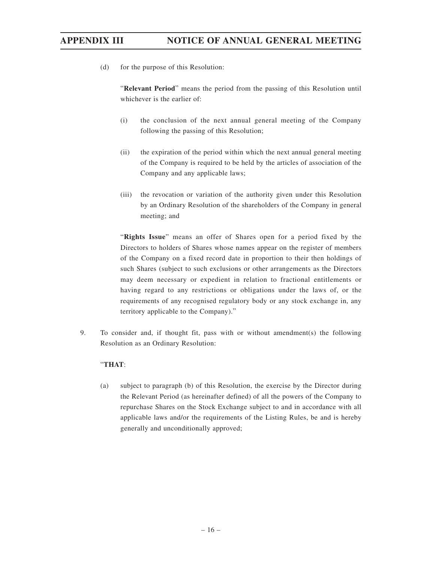(d) for the purpose of this Resolution:

"**Relevant Period**" means the period from the passing of this Resolution until whichever is the earlier of:

- (i) the conclusion of the next annual general meeting of the Company following the passing of this Resolution;
- (ii) the expiration of the period within which the next annual general meeting of the Company is required to be held by the articles of association of the Company and any applicable laws;
- (iii) the revocation or variation of the authority given under this Resolution by an Ordinary Resolution of the shareholders of the Company in general meeting; and

"**Rights Issue**" means an offer of Shares open for a period fixed by the Directors to holders of Shares whose names appear on the register of members of the Company on a fixed record date in proportion to their then holdings of such Shares (subject to such exclusions or other arrangements as the Directors may deem necessary or expedient in relation to fractional entitlements or having regard to any restrictions or obligations under the laws of, or the requirements of any recognised regulatory body or any stock exchange in, any territory applicable to the Company)."

9. To consider and, if thought fit, pass with or without amendment(s) the following Resolution as an Ordinary Resolution:

### "**THAT**:

(a) subject to paragraph (b) of this Resolution, the exercise by the Director during the Relevant Period (as hereinafter defined) of all the powers of the Company to repurchase Shares on the Stock Exchange subject to and in accordance with all applicable laws and/or the requirements of the Listing Rules, be and is hereby generally and unconditionally approved;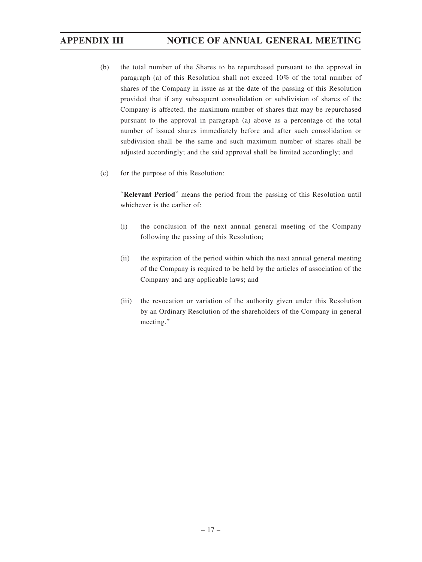- (b) the total number of the Shares to be repurchased pursuant to the approval in paragraph (a) of this Resolution shall not exceed 10% of the total number of shares of the Company in issue as at the date of the passing of this Resolution provided that if any subsequent consolidation or subdivision of shares of the Company is affected, the maximum number of shares that may be repurchased pursuant to the approval in paragraph (a) above as a percentage of the total number of issued shares immediately before and after such consolidation or subdivision shall be the same and such maximum number of shares shall be adjusted accordingly; and the said approval shall be limited accordingly; and
- (c) for the purpose of this Resolution:

"**Relevant Period**" means the period from the passing of this Resolution until whichever is the earlier of:

- (i) the conclusion of the next annual general meeting of the Company following the passing of this Resolution;
- (ii) the expiration of the period within which the next annual general meeting of the Company is required to be held by the articles of association of the Company and any applicable laws; and
- (iii) the revocation or variation of the authority given under this Resolution by an Ordinary Resolution of the shareholders of the Company in general meeting."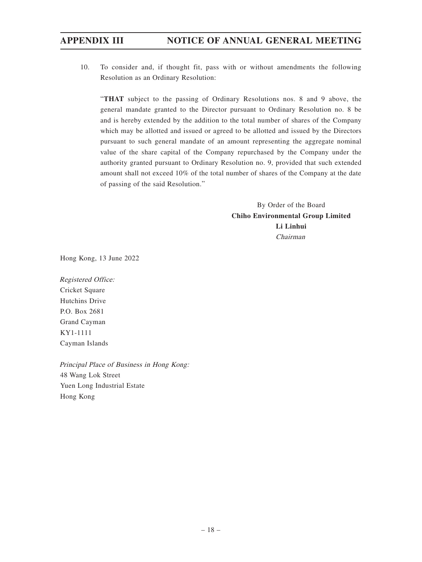10. To consider and, if thought fit, pass with or without amendments the following Resolution as an Ordinary Resolution:

"**THAT** subject to the passing of Ordinary Resolutions nos. 8 and 9 above, the general mandate granted to the Director pursuant to Ordinary Resolution no. 8 be and is hereby extended by the addition to the total number of shares of the Company which may be allotted and issued or agreed to be allotted and issued by the Directors pursuant to such general mandate of an amount representing the aggregate nominal value of the share capital of the Company repurchased by the Company under the authority granted pursuant to Ordinary Resolution no. 9, provided that such extended amount shall not exceed 10% of the total number of shares of the Company at the date of passing of the said Resolution."

> By Order of the Board **Chiho Environmental Group Limited Li Linhui** Chairman

Hong Kong, 13 June 2022

Registered Office: Cricket Square Hutchins Drive P.O. Box 2681 Grand Cayman KY1-1111 Cayman Islands

Principal Place of Business in Hong Kong: 48 Wang Lok Street Yuen Long Industrial Estate Hong Kong